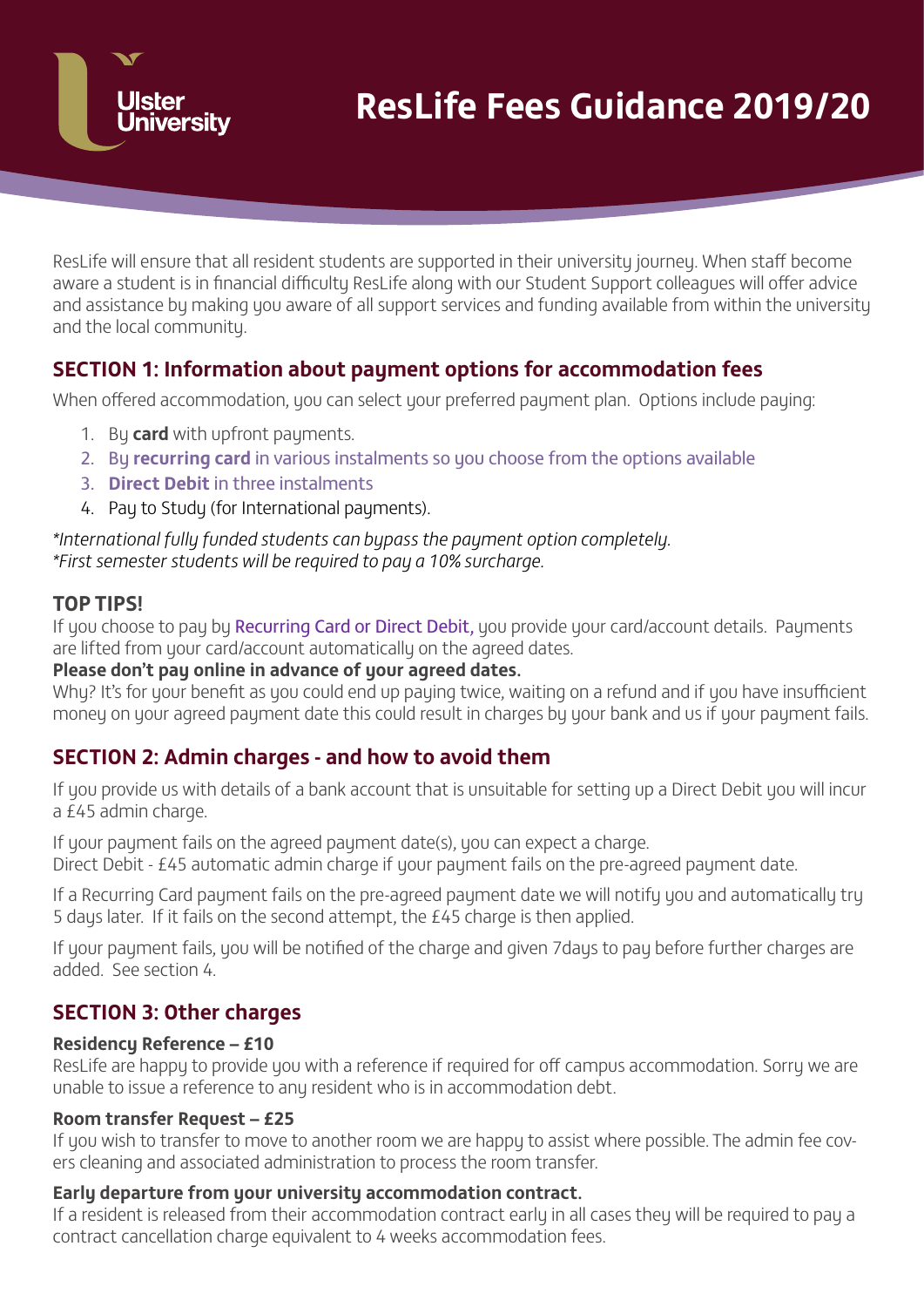

ResLife will ensure that all resident students are supported in their university journey. When staff become aware a student is in financial difficulty ResLife along with our Student Support colleagues will offer advice and assistance by making you aware of all support services and funding available from within the university and the local community.

# **SECTION 1: Information about payment options for accommodation fees**

When offered accommodation, you can select your preferred payment plan. Options include paying:

- 1. Bu **card** with upfront pauments.
- 2. By **recurring card** in various instalments so you choose from the options available
- 3. **Direct Debit** in three instalments
- 4. Pau to Studu (for International pauments).

*\*International fully funded students can bypass the payment option completely. \*First semester students will be required to pay a 10% surcharge.*

### **TOP TIPS!**

If you choose to pay by Recurring Card or Direct Debit, you provide your card/account details. Payments are lifted from your card/account automatically on the agreed dates.

### **Please don't pay online in advance of your agreed dates.**

Why? It's for your benefit as you could end up paying twice, waiting on a refund and if you have insufficient money on your agreed payment date this could result in charges by your bank and us if your payment fails.

# **SECTION 2: Admin charges - and how to avoid them**

If you provide us with details of a bank account that is unsuitable for setting up a Direct Debit you will incur a £45 admin charge.

If your payment fails on the agreed payment date(s), you can expect a charge.

Direct Debit - £45 automatic admin charge if your payment fails on the pre-agreed payment date.

If a Recurring Card payment fails on the pre-agreed payment date we will notify you and automatically try 5 days later. If it fails on the second attempt, the £45 charge is then applied.

If your payment fails, you will be notified of the charge and given 7days to pay before further charges are added. See section 4.

# **SECTION 3: Other charges**

### **Residency Reference – £10**

ResLife are happy to provide you with a reference if required for off campus accommodation. Sorry we are unable to issue a reference to any resident who is in accommodation debt.

### **Room transfer Request – £25**

If you wish to transfer to move to another room we are happy to assist where possible. The admin fee covers cleaning and associated administration to process the room transfer.

### **Early departure from your university accommodation contract.**

If a resident is released from their accommodation contract early in all cases they will be required to pay a contract cancellation charge equivalent to 4 weeks accommodation fees.